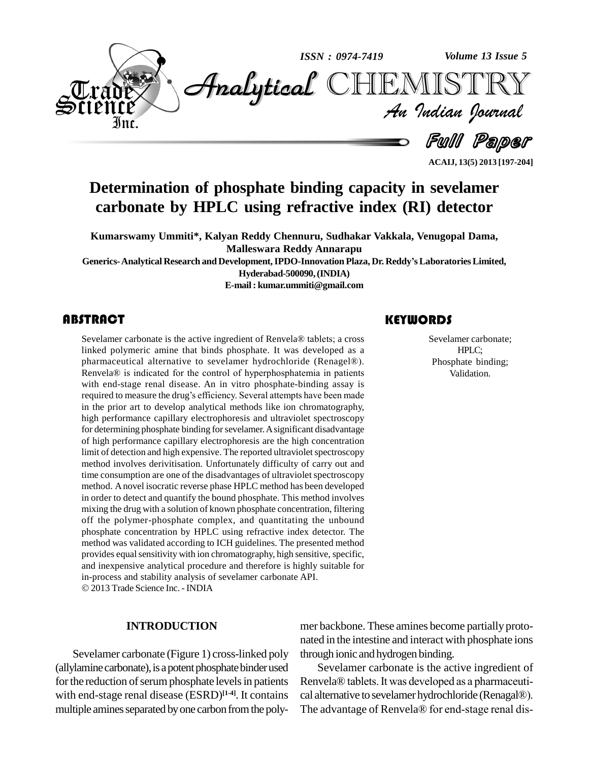

**ACAIJ, 13(5) 2013 [197-204]**

## **Determination of phosphate binding capacity in sevelamer carbonate by HPLC using refractive index (RI) detector**

**Kumarswamy Ummiti\*, Kalyan Reddy Chennuru, Sudhakar Vakkala, Venugopal Dama, Malleswara Reddy Annarapu**

**Generics-Analytical Research and Development,IPDO-Innovation Plaza, Dr. ReddyísLaboratoriesLimited,**

**Hyderabad-500090,(INDIA)**

**E-mail: [kumar.ummiti@gmail.com](mailto:kumar.ummiti@gmail.com)**

Sevelamer carbonate is the active ingredient of Renvela® tablets; a cross<br>linked polymeric amine that binds phosphate. It was developed as a<br>pharmaceutical alternative to sevelamer hydrochloride (Renagel®). **RRIGERIGE ARSTRACT**<br>Sevelamer carbonate is the active ingredient of Renvela® tablets; a cross Sevela linked polymeric amine that binds phosphate. It was developed as a linked polymeric amine that binds phosphate. It was developed as a pharmaceutical alternative to sevelamer hydrochloride (Renagel®).<br>Renvela® is indicated for the control of hyperphosphatemia in patients with end-stage renal disease. An in vitro phosphate-binding assay is Renvela® is indicated for the control of hyperphosphatemia in patients<br>with end-stage renal disease. An in vitro phosphate-binding assay is<br>required to measure the drug's efficiency. Several attempts have been made in the prior art to develop analytical methods like ion chromatography, high performance capillary electrophoresis and ultraviolet spectroscopy for determining phosphate binding for sevelamer. A significant disadvantage of high performance capillary electrophoresis are the high concentration limit of detection and high expensive. The reported ultraviolet spectroscopy method involves derivitisation. Unfortunately difficulty of carry out and time consumption are one of the disadvantages of ultraviolet spectroscopy method. Anovel isocratic reverse phase HPLC method has been developed in order to detect and quantify the bound phosphate. This method involves mixing the drug with a solution of known phosphate concentration, filtering off the polymer-phosphate complex, and quantitating the unbound phosphate concentration by HPLC using refractive index detector. The method was validated according to ICH guidelines. The presented method provides equal sensitivity with ion chromatography, high sensitive, specific, and inexpensive analytical procedure and therefore is highly suitable for in-process and stability analysis of sevelamer carbonate API. © 2013 Trade Science Inc. - INDIA

#### **INTRODUCTION**

Sevelamer carbonate (Figure 1) cross-linked poly (allylamine carbonate), is a potent phosphate binder used for the reduction of serum phosphate levels in patients with end-stage renal disease (ESRD)<sup>[1-4]</sup>. It contains cal al multiple amines separated by one carbon from the poly-<br>The advantage of Renvela® for end-stage renal dis-

Sevelamer carbo<br>
HPLC;<br>
Phosphate bind Sevelamer carbonate; HPLC; Phosphate binding; Validation.

mer backbone. These amines become partially proto nated in the intestine and interact with phosphate ions through ionic and hydrogen binding.

Sevelamer carbonate is the active ingredient of through ionic and hydrogen binding.<br>Sevelamer carbonate is the active ingredient of<br>Renvela® tablets. It was developed as a pharmaceuti-Sevelamer carbonate is the active ingredient of<br>Renvela® tablets. It was developed as a pharmaceuti-<br>cal alternative to sevelamer hydrochloride (Renagal®). Renvela® tablets. It was developed as a pharmaceuti-<br>cal alternative to sevelamer hydrochloride (Renagal®).<br>The advantage of Renvela® for end-stage renal dis-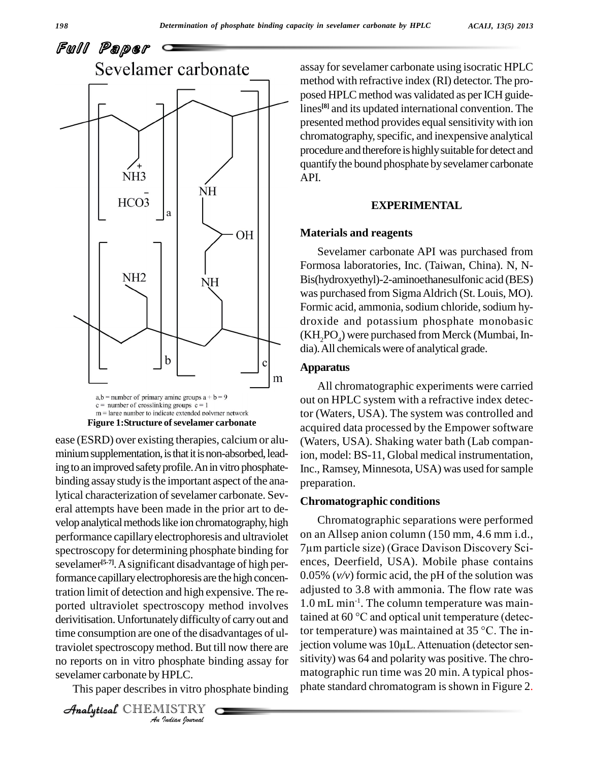

**Figure 1:Structure of sevelamer carbonate** 

time consumption are one of the disadvantages of ul-*I*<br>**Indian**<br>*Indian*<br>*ISTRY*<br>*ISTRY*<br>*<i>Indian Journal* traviolet spectroscopy method. But till now there are jection ease (ESRD) over existing therapies, calcium or alu minium supplementation, is that it is non-absorbed, leading to an improved safety profile. An in vitro phosphatebinding assay study is the important aspect of the analytical characterization of sevelamer carbonate. Several attempts have been made in the prior art to de velop analytical methods like ion chromatography, high performance capillary electrophoresis and ultraviolet on an Allsep anion column (150 mm, 4.6 mm 1.d., spectroscopy for determining phosphate binding for 7 µm particle size) (Grace Davison Discovery Scispectroscopy for determining phosphate binding for sevelamer<sup>[5-7]</sup>. A significant disadvantage of high per- en formance capillaryelectrophoresis are the high concentration limit of detection and high expensive. The re ported ultraviolet spectroscopy method involves  $1.0$  mL min<sup>-1</sup>. The column temperature was main-<br>derivitisation. Unfortunately difficulty of carry out and tained at 60  $^{\circ}$ C and optical unit temperature (detecderivitisation. Unfortunately difficulty of carry out and no reports on in vitro phosphate binding assay for sevelamer carbonate by HPLC.

This paper describes in vitro phosphate binding

CHEMISTRY

assay for sevelamer carbonate using isocratic HPLC method with refractive index (RI) detector. The pro posed HPLC method was validated as per ICH guidelines **[8]** and its updated international convention. The presented method provides equal sensitivity with ion chromatography, specific, and inexpensive analytical procedure and therefore is highly suitable for detect and quantify the bound phosphate by sevelamer carbonate API.

#### **EXPERIMENTAL**

#### **Materials and reagents**

Sevelamer carbonate API was purchased from Formosa laboratories, Inc. (Taiwan, China). N, N- Bis(hydroxyethyl)-2-aminoethanesulfonic acid (BES) was purchased from SigmaAldrich (St. Louis, MO). Formic acid, ammonia, sodium chloride, sodium hydroxide and potassium phosphate monobasic  $(KH<sub>2</sub>PO<sub>4</sub>)$  were purchased from Merck (Mumbai, India). All chemicals were of analytical grade.

#### **Apparatus**

All chromatographic experiments were carried out on HPLC system witha refractive index detector (Waters, USA). The system was controlled and acquired data processed by the Empower software (Waters, USA). Shaking water bath (Lab companion, model: BS-11, Global medical instrumentation, Inc., Ramsey, Minnesota, USA) was used forsample preparation.

### **Chromatographic conditions**

Chromatographic separations were performed on an Allsep anion column (150 mm, 4.6 mm i.d., Chromatographic separations were performed<br>on an Allsep anion column (150 mm, 4.6 mm i.d.,<br>7µm particle size) (Grace Davison Discovery Sciences, Deerfield, USA). Mobile phase contains 0.05% (*v/v*) formic acid, the pH of the solution was adjusted to 3.8 with ammonia. The flow rate was 1.0 mL min -1 . The column temperature was mainadjusted to 3.8 with ammonia. The flow rate was<br>1.0 mL min<sup>-1</sup>. The column temperature was main-<br>tained at 60  $^{\circ}$ C and optical unit temperature (detec-1.0 mL min<sup>-1</sup>. The column temperature was main-<br>tained at 60 °C and optical unit temperature (detec-<br>tor temperature) was maintained at 35 °C. The intor temperature) was maintained at 35 °C. The injection volume was 10 $\mu$ L. Attenuation (detector sensitivity) was 64 and polarity was positive. The chro matographic run time was 20 min. A typical phos phate standard chromatogram is shown in Figure 2.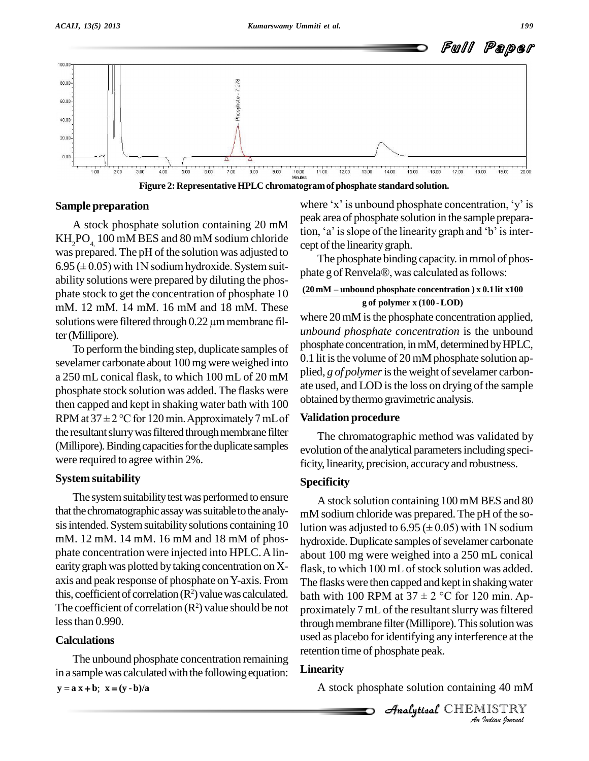

**Figure 2: Representative HPLC chromatogramof phosphate standard solution.**

#### **Sample preparation**

 $KH<sub>2</sub>PO<sub>4</sub>100$  mM BES and 80 mM sodium chloride was prepared. The pH of the solution was adjusted to  $\frac{C_{\rm P} C_{\rm D}}{T_{\rm b}}$ KH<sub>2</sub>PO<sub>4</sub>, 100 mM BES and 80 mM sodium chloride<br>was prepared. The pH of the solution was adjusted to<br>6.95 ( $\pm$  0.05) with 1N sodium hydroxide. System suit- $\frac{6.55}{2.50}$  ( $\pm$  0.05) with TV solutin hydroxide. By significantly phate g of Renvela®, was calculated as follows: phate stock to get the concentration of phosphate  $10$  mM. 12 mM. 14 mM. 16 mM and 18 mM. These solutions were filtered through 0.22  $\mu$ m membrane filmM. 12 mM. 14 mM. 16 mM and 18 mM. These ter(Millipore).

To performthe binding step, duplicate samples of sevelamer carbonate about 100mg were weighed into a 250 mL conical flask, to which 100 mL of 20 mM phosphate stock solution was added. The flasks were  $\frac{dE}{dt}$  and kept in shaking water bath with 100  $\frac{dE}{dt}$  obtain RPM at 37  $\pm$  2 °C for 120 min. Approximately 7 mL of **Valid** then capped and kept in shaking water bath with 100 the resultant slurry was filtered through membrane filter (Millipore). Binding capacities for the duplicate samples were required to agree within 2%.

### **System suitability**

The system suitability test was performed to ensure that the chromatographic assay was suitable to the analysis intended. System suitability solutions containing 10 mM. 12 mM. 14 mM. 16 mM and 18 mM of phos phate concentration were injected into HPLC.Alin earity graph was plotted by taking concentration on Xaxis and peak response of phosphate on Y-axis. From this, coefficient of correlation (R<sup>2</sup>) value was calculated. bath with 100 RPM at 37  $\pm$  2 °C for 120 min. Ap-The coefficient of correlation  $(R^2)$  value should be not lessthan 0.990.

### **Calculations**

The unbound phosphate concentration remaining in a sample was calculated with the following equation:  $\bf{L}i$ <br> $\bf{y} = \bf{a} \bf{x} + \bf{b}; \bf{x} = (\bf{y} \cdot \bf{b})/\bf{a}$ 

A stock phosphate solution containing  $20 \text{ mM}$  from a state of phosphate solution and sample preparation. peak area of phosphate solution in the sample preparawhere 'x' is unbound phosphate concentration, 'y' is<br>peak area of phosphate solution in the sample prepara-<br>tion, 'a' is slope of the linearity graph and 'b' is intercept of the linearity graph.

The phosphate binding capacity. in mmol of phoscept of the linearity graph.<br>The phosphate binding capacity. in mmol of phosphate g of Renvela®, was calculated as follows:

#### **g of polymer x (100 -LOD) (20 mM <sup>ñ</sup> unbound phosphate concentration ) <sup>x</sup> 0.1lit x100**

where 20 mM is the phosphate concentration applied, *unbound phosphate concentration* is the unbound phosphate concentration, in mM, determined by HPLC, 0.1 lit is the volume of 20 mM phosphate solution applied, *g of polymer* is the weight of sevelamer carbonate used, and LOD is the loss on drying of the sample obtained bythermo gravimetric analysis.

#### **Validation procedure**

The chromatographic method was validated by evolution of the analytical parameters including specificity, linearity, precision, accuracyand robustness.

### **Specificity**

*An*used as placebo foridentifying any interference at the *I*<br>*Ing 40 mM<br>IISTRY<br><i>Indian Iournal* asca as placebo for identifying any metention time of phosphate peak. A stock solution containing 100 mM BES and 80 mM sodium chloride was prepared. The pH of the solution was adjusted to  $6.95 \times (0.05)$  with 1N sodium hydroxide. Duplicate samples of sevelamer carbonate about 100 mg were weighed into a 250 mL conical flask, to which 100 mL of stock solution was added. The flasks were then capped and kept in shaking water flask, to which 100 mL of stock solution was added.<br>The flasks were then capped and kept in shaking water<br>bath with 100 RPM at  $37 \pm 2$  °C for 120 min. Approximately 7 mL of the resultant slurry was filtered through membrane filter (Millipore). This solution was

### **Linearity**

A stock phosphate solution containing 40 mM

 $\mathcal{A}$ nalytical $\mathcal{C}$ HEMISTRY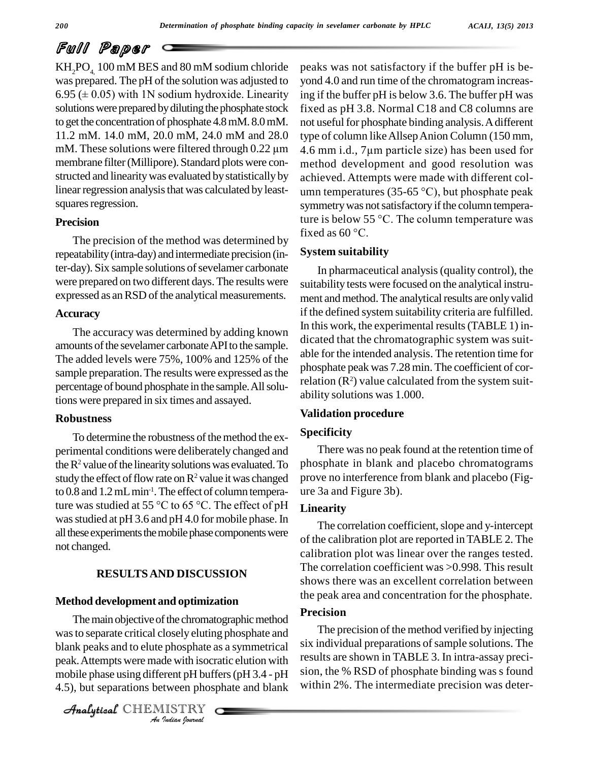## Full Paper

KH<sub>2</sub>PO<sub>4</sub>, 100 mM BES and 80 mM sodium chloride peaks<br>was prepared. The pH of the solution was adjusted to yond 4<br>6.95 ( $\pm$  0.05) with 1N sodium hydroxide. Linearity ing if the was prepared. The pH of the solution was adjusted to solutions were prepared by diluting the phosphate stock to get the concentration of phosphate 4.8 mM. 8.0 mM. mot useful fc 11.2 mM. 14.0 mM, 20.0 mM, 24.0 mM and 28.0 type of colum M. These solutions were filtered through  $0.22 \mu m$  4.6 mm i.d. 11.2 mM. 14.0 mM, 20.0 mM, 24.0 mM and 28.0 membrane filter(Millipore). Standard plots were con structed and linearity was evaluated by statistically by linear regression analysis that was calculated by leastsquares regression.

#### **Precision**

The precision of the method was determined by fixed as  $60^{\circ}$ C. repeatability(intra-day) and intermediate precision (inter-day). Six sample solutions of sevelamer carbonate were prepared on two different days.The results were expressed as an RSD of the analytical measurements.

#### **Accuracy**

The accuracy was determined by adding known amounts of the sevelamer carbonate API to the sample. The added levels were 75%, 100% and 125% of the sample preparation. The results were expressed as the percentage of bound phosphate in the sample. All solutions were prepared in six times and assayed.

#### **Robustness**

To determine the robustness of the method the experimental conditions were deliberately changed and the  $R^2$  value of the linearity solutions was evaluated. To study the effect of flow rate on  $\mathbb{R}^2$  value it was changed to 0.8 and 1.2 mL min<sup>-1</sup>. The effect of column temperastudy the effect of flow rate on  $\mathbb{R}^2$  value it was changed prove no ir<br>to 0.8 and 1.2 mL min<sup>-1</sup>. The effect of column tempera-<br>ture was studied at 55 °C to 65 °C. The effect of pH Linearity was studied at pH 3.6 and pH 4.0 for mobile phase. In all these experiments the mobile phase components were not changed.

### **RESULTSAND DISCUSSION**

### **Method development and optimization**

was to separate critical closely eluting phosphate and *Indian*<br>*Indian*<br>*Indian*<br>*IISTRY*<br>*IISTRY* blank peaks and to elute phosphate as a symmetrical six The main objective of the chromatographic method peak.Attempts were made with isocratic elution with mobile phase using different pH buffers(pH 3.4 - pH 4.5), but separations between phosphate and blank

CHEMISTRY

peaks was not satisfactory if the buffer pH is be yond 4.0 and run time of the chromatogram increasing if the buffer pH is below 3.6. The buffer pH was fixed as pH 3.8. Normal C18 and C8 columns are not useful for phosphate binding analysis. A different<br>type of column like Allsep Anion Column (150 mm,<br>4.6 mm i.d., 7µm particle size) has been used for type of column likeAllsepAnion Column (150 mm, method development and good resolution was achieved. Attempts were made with different col umn temperatures (35-65  $^{\circ}$ C), but phosphate peak symmetry was not satisfactory if the column temperaumn temperatures (35-65 °C), but phosphate peak<br>symmetry was not satisfactory if the column tempera-<br>ture is below 55 °C. The column temperature was symmetry was not sat<br>ture is below 55 °C.<br>fixed as 60 °C.

### **System suitability**

In pharmaceutical analysis(quality control), the suitability tests were focused on the analytical instru ment and method. The analytical results are only valid if the defined system suitability criteria are fulfilled. In this work, the experimental results(TABLE 1) in dicated that the chromatographic system was suit able for the intended analysis. The retention time for phosphate peak was 7.28 min. The coefficient of correlation  $(R^2)$  value calculated from the system suitability solutions was 1.000.

#### **Validation procedure**

#### **Specificity**

There was no peak found at the retention time of phosphate in blank and placebo chromatograms prove no interference from blank and placebo (Fig ure 3a and Figure 3b).

### **Linearity**

The correlation coefficient, slope and y-intercept of the calibration plot are reported inTABLE 2. The calibration plot was linear over the ranges tested. The correlation coefficient was > 0.998. This result shows there was an excellent correlation between the peak area and concentration for the phosphate.

#### **Precision**

The precision of the method verified by injecting six individual preparations of sample solutions. The results are shown in TABLE 3. In intra-assay preci sion, the % RSD of phosphate binding was s found within 2%. The intermediate precision was deter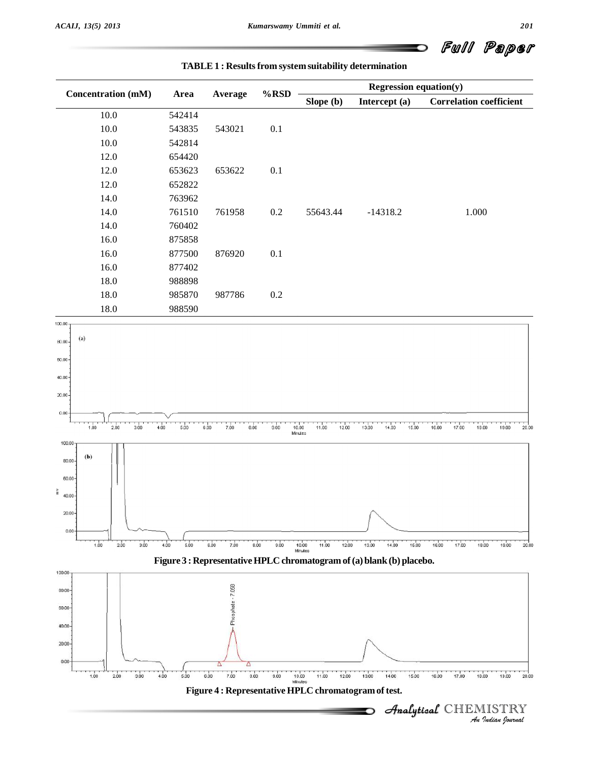**TABLE 1 : Resultsfrom system suitability determination**

Full Paper 

| <b>Concentration (mM)</b>              |              | Average              | $%$ RSD      | Regression equation $(y)$                            |                                                                       |                                                |  |
|----------------------------------------|--------------|----------------------|--------------|------------------------------------------------------|-----------------------------------------------------------------------|------------------------------------------------|--|
|                                        | Area         |                      |              | Slope (b)                                            | Intercept (a)                                                         | <b>Correlation coefficient</b>                 |  |
| $10.0\,$                               | 542414       |                      |              |                                                      |                                                                       |                                                |  |
| $10.0\,$                               | 543835       | 543021               | $0.1\,$      |                                                      |                                                                       |                                                |  |
| $10.0\,$                               | 542814       |                      |              |                                                      |                                                                       |                                                |  |
| 12.0                                   | 654420       |                      |              |                                                      |                                                                       |                                                |  |
| 12.0                                   | 653623       | 653622               | $0.1\,$      |                                                      |                                                                       |                                                |  |
| 12.0                                   | 652822       |                      |              |                                                      |                                                                       |                                                |  |
| 14.0                                   | 763962       |                      |              |                                                      |                                                                       |                                                |  |
| 14.0                                   | 761510       | 761958               | $0.2\,$      | 55643.44                                             | $-14318.2$                                                            | 1.000                                          |  |
| 14.0                                   | 760402       |                      |              |                                                      |                                                                       |                                                |  |
| 16.0                                   | 875858       |                      |              |                                                      |                                                                       |                                                |  |
| 16.0                                   | 877500       | 876920               | $0.1\,$      |                                                      |                                                                       |                                                |  |
| 16.0                                   | 877402       |                      |              |                                                      |                                                                       |                                                |  |
| 18.0                                   | 988898       |                      |              |                                                      |                                                                       |                                                |  |
| $18.0\,$                               | 985870       | 987786               | $0.2\,$      |                                                      |                                                                       |                                                |  |
| 18.0                                   | 988590       |                      |              |                                                      |                                                                       |                                                |  |
|                                        |              |                      |              |                                                      |                                                                       |                                                |  |
| (a)                                    |              |                      |              |                                                      |                                                                       |                                                |  |
|                                        |              |                      |              |                                                      |                                                                       |                                                |  |
|                                        |              |                      |              |                                                      |                                                                       |                                                |  |
|                                        |              |                      |              |                                                      |                                                                       |                                                |  |
|                                        |              |                      |              |                                                      |                                                                       |                                                |  |
|                                        |              |                      |              |                                                      |                                                                       |                                                |  |
|                                        |              |                      |              |                                                      |                                                                       |                                                |  |
| $\frac{1}{300}$<br>1.00<br>2.00        | 500<br>4.00  | 6.00<br>7.00<br>0.00 | 9.00         | 11.00<br>12:00<br>10.00<br>Minutes                   | 13.00<br>14.00<br>15.00                                               | 20.00<br>17.00<br>18.00<br>1900<br>16.00       |  |
| $100.00 -$                             |              |                      |              |                                                      |                                                                       |                                                |  |
| $\left(\mathbf{b}\right)$<br>$80.00 -$ |              |                      |              |                                                      |                                                                       |                                                |  |
| $60.00 -$                              |              |                      |              |                                                      |                                                                       |                                                |  |
| $\frac{2}{1}$ 40.00                    |              |                      |              |                                                      |                                                                       |                                                |  |
|                                        |              |                      |              |                                                      |                                                                       |                                                |  |
| 20.00                                  |              |                      |              |                                                      | $\curvearrowright$                                                    |                                                |  |
| $0.00 -$                               |              |                      |              |                                                      |                                                                       |                                                |  |
| 1.00<br>2.00<br>3.00                   | 5.00<br>4.00 | 6.00<br>7.00         | 8.00<br>9.00 | 10.00<br>11.00<br>12.00                              | 13.00<br>14.00<br>15.00                                               | 16.00<br>17.00<br>18.00<br>19.00<br>20.00      |  |
|                                        |              |                      |              | Minutes                                              | Figure 3 : Representative HPLC chromatogram of (a) blank (b) placebo. |                                                |  |
|                                        |              |                      |              |                                                      |                                                                       |                                                |  |
| 100.00                                 |              |                      |              |                                                      |                                                                       |                                                |  |
| 80.00-                                 |              | Phosphate - 7.058    |              |                                                      |                                                                       |                                                |  |
| 60.00-                                 |              |                      |              |                                                      |                                                                       |                                                |  |
| $40.00 -$                              |              |                      |              |                                                      |                                                                       |                                                |  |
|                                        |              |                      |              |                                                      |                                                                       |                                                |  |
| $20.00 -$                              |              |                      |              |                                                      |                                                                       |                                                |  |
|                                        |              |                      |              |                                                      |                                                                       |                                                |  |
| 1.00<br>2.00<br>3.00                   | 5.00<br>4.00 | 7.00<br>8.00<br>6.00 | 9.00         | 11.00<br>12.00<br>10.00<br>Minutes                   | 13.00<br>14.00<br>15.00                                               | 16.00<br>17.00<br>20.00<br>18.00<br>19.00      |  |
|                                        |              |                      |              | Figure 4 : Representative HPLC chromatogram of test. |                                                                       |                                                |  |
|                                        |              |                      |              |                                                      |                                                                       |                                                |  |
|                                        |              |                      |              |                                                      |                                                                       | Analytical CHEMISTRY<br>.<br>An Indian Iournal |  |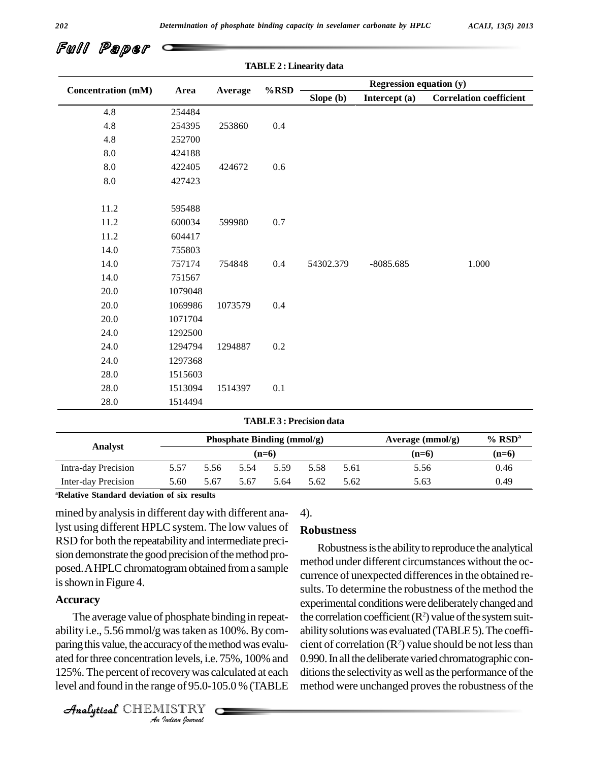**TABLE2 :Linearity data**

| Full Paper <i>c</i> |  |
|---------------------|--|
|---------------------|--|

|                           |         |         | $\%$ RSD | <b>Regression equation (y)</b> |               |                                |  |  |
|---------------------------|---------|---------|----------|--------------------------------|---------------|--------------------------------|--|--|
| <b>Concentration (mM)</b> | Area    | Average |          | Slope (b)                      | Intercept (a) | <b>Correlation coefficient</b> |  |  |
| 4.8                       | 254484  |         |          |                                |               |                                |  |  |
| 4.8                       | 254395  | 253860  | $0.4\,$  |                                |               |                                |  |  |
| 4.8                       | 252700  |         |          |                                |               |                                |  |  |
| $8.0\,$                   | 424188  |         |          |                                |               |                                |  |  |
| $\ \, 8.0$                | 422405  | 424672  | $0.6\,$  |                                |               |                                |  |  |
| $\ \, 8.0$                | 427423  |         |          |                                |               |                                |  |  |
|                           |         |         |          |                                |               |                                |  |  |
| 11.2                      | 595488  |         |          |                                |               |                                |  |  |
| 11.2                      | 600034  | 599980  | $0.7\,$  |                                |               |                                |  |  |
| 11.2                      | 604417  |         |          |                                |               |                                |  |  |
| 14.0                      | 755803  |         |          |                                |               |                                |  |  |
| 14.0                      | 757174  | 754848  | 0.4      | 54302.379                      | $-8085.685$   | 1.000                          |  |  |
| 14.0                      | 751567  |         |          |                                |               |                                |  |  |
| $20.0\,$                  | 1079048 |         |          |                                |               |                                |  |  |
| 20.0                      | 1069986 | 1073579 | 0.4      |                                |               |                                |  |  |
| 20.0                      | 1071704 |         |          |                                |               |                                |  |  |
| 24.0                      | 1292500 |         |          |                                |               |                                |  |  |
| 24.0                      | 1294794 | 1294887 | $0.2\,$  |                                |               |                                |  |  |
| 24.0                      | 1297368 |         |          |                                |               |                                |  |  |
| $28.0\,$                  | 1515603 |         |          |                                |               |                                |  |  |
| 28.0                      | 1513094 | 1514397 | 0.1      |                                |               |                                |  |  |
| 28.0                      | 1514494 |         |          |                                |               |                                |  |  |

#### **TABLE3 : Precision data**

| <b>Analyst</b>      |      |      | Phosphate Binding (mmol/g) |         | Average $(mmol/g)$ | $%$ RSD <sup>a</sup> |         |         |
|---------------------|------|------|----------------------------|---------|--------------------|----------------------|---------|---------|
|                     |      |      |                            | $(n=6)$ |                    |                      | $(n=6)$ | $(n=6)$ |
| Intra-day Precision | 5.57 | 5.56 | 5.54                       | 5.59    | 5.58               | 5.61                 | 5.56    | 0.46    |
| Inter-day Precision | 5.60 | 5.67 | 5.67                       | 5.64    | 5.62               | 5.62                 | 5.63    | 0.49    |

**<sup>a</sup>Relative Standard deviation of six results**

mined by analysis in different day with different analyst using different HPLC system. The low values of RSD for both the repeatability and intermediate precision demonstrate the good precision of the method prois shown in Figure 4.

#### **Accuracy**

paring this value, the accuracy of the method was evalu-cier *Indian*<br> *Indian*<br> *Indian*<br> *I*<br> *ISTRY*<br> *IISTRY* The average value of phosphate binding in repeat ability i.e., 5.56 mmol/g wastaken as 100%.Bycom ated for three concentration levels, i.e. 75%, 100% and 125%. The percent of recovery was calculated at each level and found in the range of 95.0-105.0 % (TABLE

CHEMISTRY

### 4).

#### **Robustness**

posed. A HPLC chromatogram obtained from a sample<br>currence of unexpected differences in the obtained re-Robustness is the ability to reproduce the analytical method under different circumstances without the oc sults. To determine the robustness of the method the experimental conditions were deliberately changed and the correlation coefficient  $(R^2)$  value of the system suitability solutions was evaluated (TABLE 5). The coefficient of correlation  $(R^2)$  value should be not less than 0.990. In all the deliberate varied chromatographic conditions the selectivity as well as the performance of the method were unchanged proves the robustness of the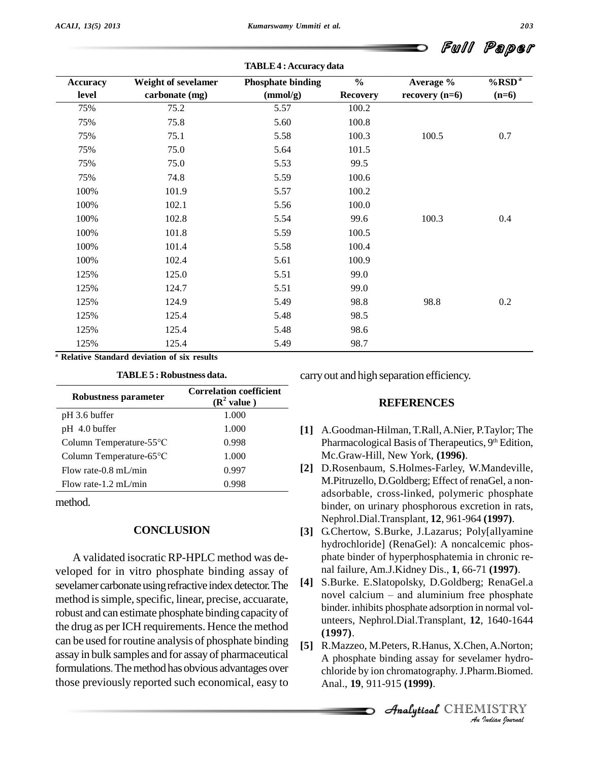**TABLE4 :Accuracy data**

| <b>Accuracy</b> | Weight of sevelamer | $\frac{0}{0}$<br><b>Phosphate binding</b> |                 | Average %        | $%$ RSD <sup>a</sup> |  |
|-----------------|---------------------|-------------------------------------------|-----------------|------------------|----------------------|--|
| level           | carbonate (mg)      | (mmol/g)                                  | <b>Recovery</b> | recovery $(n=6)$ | $(n=6)$              |  |
| 75%             | 75.2                | 5.57                                      | 100.2           |                  |                      |  |
| 75%             | 75.8                | 5.60                                      | 100.8           |                  |                      |  |
| 75%             | 75.1                | 5.58                                      | 100.3           | 100.5            | 0.7                  |  |
| 75%             | 75.0                | 5.64                                      | 101.5           |                  |                      |  |
| 75%             | 75.0                | 5.53                                      | 99.5            |                  |                      |  |
| 75%             | 74.8                | 5.59                                      | 100.6           |                  |                      |  |
| 100%            | 101.9               | 5.57                                      | 100.2           |                  |                      |  |
| 100%            | 102.1               | 5.56                                      | 100.0           |                  |                      |  |
| 100%            | 102.8               | 5.54                                      | 99.6            | 100.3            | 0.4                  |  |
| 100%            | 101.8               | 5.59                                      | 100.5           |                  |                      |  |
| 100%            | 101.4               | 5.58                                      | 100.4           |                  |                      |  |
| 100%            | 102.4               | 5.61                                      | 100.9           |                  |                      |  |
| 125%            | 125.0               | 5.51                                      | 99.0            |                  |                      |  |
| 125%            | 124.7               | 5.51                                      | 99.0            |                  |                      |  |
| 125%            | 124.9               | 5.49                                      | 98.8            | 98.8             | 0.2                  |  |
| 125%            | 125.4               | 5.48                                      | 98.5            |                  |                      |  |
| 125%            | 125.4               | 5.48                                      | 98.6            |                  |                      |  |
| 125%            | 125.4               | 5.49                                      | 98.7            |                  |                      |  |

**<sup>a</sup> Relative Standard deviation of six results**

**TABLE5 : Robustness data.**

| Robustness parameter    | <b>Correlation coefficient</b><br>$(R^2$ value) |  |  |
|-------------------------|-------------------------------------------------|--|--|
| pH 3.6 buffer           | 1.000                                           |  |  |
| pH 4.0 buffer           | 1.000                                           |  |  |
| Column Temperature-55°C | 0.998                                           |  |  |
| Column Temperature-65°C | 1.000                                           |  |  |
| Flow rate-0.8 mL/min    | 0.997                                           |  |  |
| Flow rate-1.2 mL/min    | 0.998                                           |  |  |

method.

#### **CONCLUSION**

A validated isocratic RP-HPLC method was de veloped for in vitro phosphate binding assay of<br>sevelamer carbonate using refractive index detector The [4] sevelamer carbonate using refractive index detector. The [4] S.Burke. E.Slatopolsky, D.Goldberg; RenaGel.a<br>novel calcium – and aluminium free phosphate method is simple, specific, linear, precise, accuarate, robust and can estimate phosphate binding capacityof the drug as per ICH requirements. Hence the method can be used for routine analysis of phosphate binding assay in bulk samples and for assay of pharmaceutical formulations. The method has obvious advantages over those previously reported such economical, easy to

carryout and high separation efficiency.

#### **REFERENCES**

- **[1]** A.Goodman-Hilman, T.Rall,A.Nier, P.Taylor; The Pharmacological Basis of Therapeutics, 9<sup>th</sup> Edition, Mc.Graw-Hill, New York, **(1996)**.
- **[2]** D.Rosenbaum, S.Holmes-Farley, W.Mandeville, M.Pitruzello, D.Goldberg; Effect of renaGel, a non adsorbable, cross-linked, polymeric phosphate binder, on urinary phosphorous excretion in rats, Nephrol.Dial.Transplant, **12**, 961-964 **(1997)**.
- **[3]** G.Chertow, S.Burke, J.Lazarus; Poly[allyamine hydrochloride] (RenaGel): A noncalcemic phos phate binder of hyperphosphatemia in chronic re-
- nal failure, Am.J.Kidney Dis., **1**, 66-71 **(1997)**.<br>S.Burke. E.Slatopolsky, D.Goldberg; RenaGel.a<br>novel calcium and aluminium free phosphate **[4]** S.Burke. E.Slatopolsky, D.Goldberg; RenaGel.a binder. inhibits phosphate adsorption in normal vol unteers, Nephrol.Dial.Transplant, **12**, 1640-1644 **(1997)**.
- *An*Analytical**[5]** R.Mazzeo, M.Peters, R.Hanus, X.Chen,A.Norton; **I**n, A.Norton;<br>Inner hydro-<br>IISTRY<br>IISTRY A phosphate binding assay for sevelamer hydro chloride by ion chromatography.J.Pharm.Biomed. Anal., **19**, 911-915 **(1999)**.

CHEMISTRY